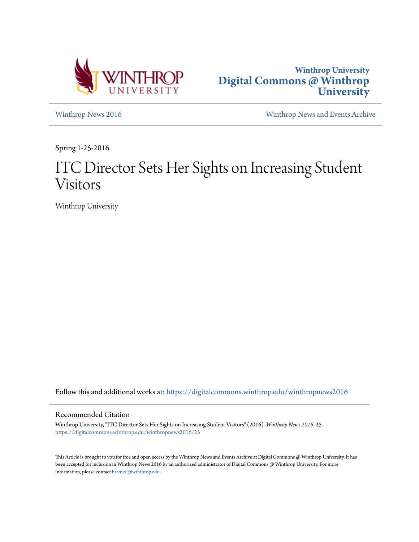



[Winthrop News 2016](https://digitalcommons.winthrop.edu/winthropnews2016?utm_source=digitalcommons.winthrop.edu%2Fwinthropnews2016%2F25&utm_medium=PDF&utm_campaign=PDFCoverPages) [Winthrop News and Events Archive](https://digitalcommons.winthrop.edu/winthropnewsarchives?utm_source=digitalcommons.winthrop.edu%2Fwinthropnews2016%2F25&utm_medium=PDF&utm_campaign=PDFCoverPages)

Spring 1-25-2016

# ITC Director Sets Her Sights on Increasing Student Visitors

Winthrop University

Follow this and additional works at: [https://digitalcommons.winthrop.edu/winthropnews2016](https://digitalcommons.winthrop.edu/winthropnews2016?utm_source=digitalcommons.winthrop.edu%2Fwinthropnews2016%2F25&utm_medium=PDF&utm_campaign=PDFCoverPages)

## Recommended Citation

Winthrop University, "ITC Director Sets Her Sights on Increasing Student Visitors" (2016). *Winthrop News 2016*. 25. [https://digitalcommons.winthrop.edu/winthropnews2016/25](https://digitalcommons.winthrop.edu/winthropnews2016/25?utm_source=digitalcommons.winthrop.edu%2Fwinthropnews2016%2F25&utm_medium=PDF&utm_campaign=PDFCoverPages)

This Article is brought to you for free and open access by the Winthrop News and Events Archive at Digital Commons @ Winthrop University. It has been accepted for inclusion in Winthrop News 2016 by an authorized administrator of Digital Commons @ Winthrop University. For more information, please contact [bramed@winthrop.edu](mailto:bramed@winthrop.edu).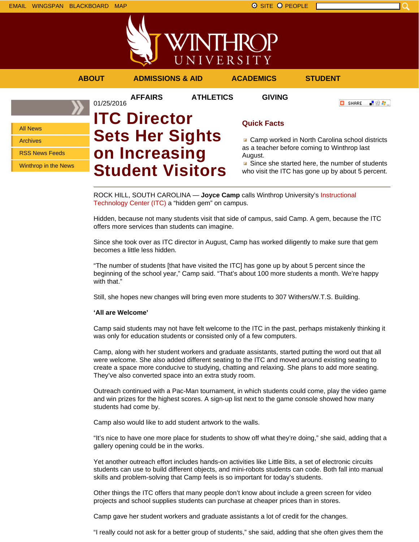

## **ABOUT ADMISSIONS & AID ACADEMICS STUDENT**

**AFFAIRS ATHLETICS GIVING**

**O** SHARE

「验費」

## All News

Archives

RSS News Feeds

Winthrop in the News

01/25/2016 **ITC Director Sets Her Sights on Increasing Student Visitors**

## **Quick Facts**

■ Camp worked in North Carolina school districts as a teacher before coming to Winthrop last August.

Since she started here, the number of students who visit the ITC has gone up by about 5 percent.

ROCK HILL, SOUTH CAROLINA — **Joyce Camp** calls Winthrop University's Instructional Technology Center (ITC) a "hidden gem" on campus.

Hidden, because not many students visit that side of campus, said Camp. A gem, because the ITC offers more services than students can imagine.

Since she took over as ITC director in August, Camp has worked diligently to make sure that gem becomes a little less hidden.

"The number of students [that have visited the ITC] has gone up by about 5 percent since the beginning of the school year," Camp said. "That's about 100 more students a month. We're happy with that."

Still, she hopes new changes will bring even more students to 307 Withers/W.T.S. Building.

## **'All are Welcome'**

Camp said students may not have felt welcome to the ITC in the past, perhaps mistakenly thinking it was only for education students or consisted only of a few computers.

Camp, along with her student workers and graduate assistants, started putting the word out that all were welcome. She also added different seating to the ITC and moved around existing seating to create a space more conducive to studying, chatting and relaxing. She plans to add more seating. They've also converted space into an extra study room.

Outreach continued with a Pac-Man tournament, in which students could come, play the video game and win prizes for the highest scores. A sign-up list next to the game console showed how many students had come by.

Camp also would like to add student artwork to the walls.

"It's nice to have one more place for students to show off what they're doing," she said, adding that a gallery opening could be in the works.

Yet another outreach effort includes hands-on activities like Little Bits, a set of electronic circuits students can use to build different objects, and mini-robots students can code. Both fall into manual skills and problem-solving that Camp feels is so important for today's students.

Other things the ITC offers that many people don't know about include a green screen for video projects and school supplies students can purchase at cheaper prices than in stores.

Camp gave her student workers and graduate assistants a lot of credit for the changes.

"I really could not ask for a better group of students," she said, adding that she often gives them the